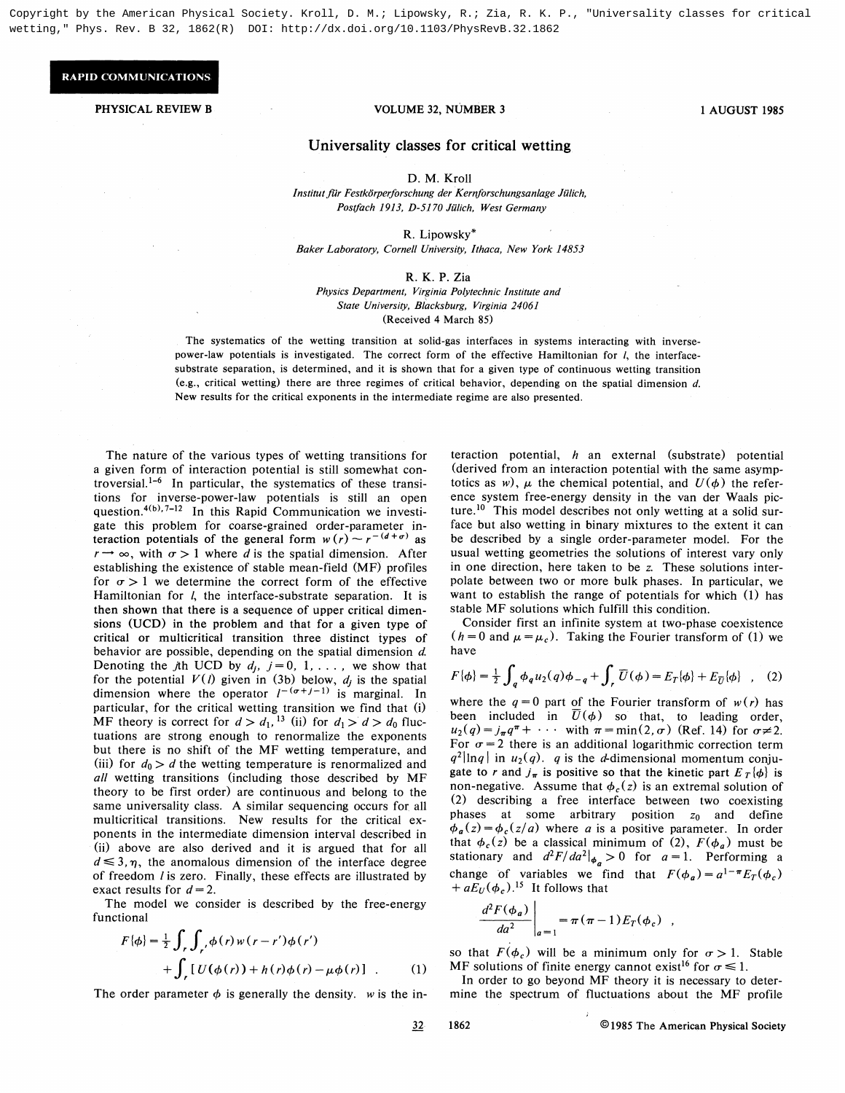Copyright by the American Physical Society. Kroll, D. M.; Lipowsky, R.; Zia, R. K. P., "Universality classes for critical wetting," Phys. Rev. B 32, 1862(R) DOI: http://dx.doi.org/10.1103/PhysRevB.32.1862

## **RAPID COMMUNICATIONS**

## PHYSICAL REVIEW B 1 AUGUST 1985

## Universality classes for critical wetting

D. M. Kroll

Institut für Festkörperforschung der Kernforschungsanlage Jülich, Postfach 1913, D-5170 Jülich, West Germany

R. Lipowsky'

Baker Laboratory, Cornell University, Ithaca, New York 14853

## R. K. P. Zia

Physics Department, Virginia Polytechnic Institute and State University, Blacksburg, Virginia 24061 (Received 4 March 85)

The systematics of the wetting transition at solid-gas interfaces in systems interacting with inversepower-law potentials is investigated. The correct form of the effective Hamiltonian for I, the interfacesubstrate separation, is determined, and it is shown that for a given type of continuous wetting transition (e.g., critical wetting) there are three regimes of critical behavior, depending on the spatial dimension d. New results for the critical exponents in the intermediate regime are also presented.

The nature of the various types of wetting transitions for a given form of interaction potential is still somewhat controversial.<sup>1-6</sup> In particular, the systematics of these transitions for inverse-power-law potentials is still an open question.<sup>4(b),7-12</sup> In this Rapid Communication we investigate this problem for coarse-grained order-parameter ingate this problem for coarse-grained order-parameter in-<br>teraction potentials of the general form  $w(r) \sim r^{-(d+\sigma)}$  as  $r \rightarrow \infty$ , with  $\sigma > 1$  where d is the spatial dimension. After establishing the existence of stable mean-field (MF) profiles for  $\sigma > 1$  we determine the correct form of the effective Hamiltonian for *l*, the interface-substrate separation. It is then shown that there is a sequence of upper critical dimensions (UCD) in the problem and that for a given type of critical or multicritical transition three distinct types of behavior are possible, depending on the spatial dimension d. Denoting the jth UCD by  $d_j$ ,  $j = 0, 1, \ldots$ , we show that for the potential  $V(l)$  given in (3b) below,  $d_j$  is the spatial dimension where the operator  $I^{-(\sigma+j-1)}$  is marginal. In particular, for the critical wetting transition we find that (i) MF theory is correct for  $d > d_1$ , <sup>13</sup> (ii) for  $d_1 > d > d_0$  fluctuations are strong enough to renormalize the exponents but there is no shift of the MF wetting temperature, and (iii) for  $d_0 > d$  the wetting temperature is renormalized and all wetting transitions (including those described by MF theory to be first order) are continuous and belong to the same universality class. A similar sequencing occurs for all multicritical transitions. New results for the critical exponents in the intermediate dimension interval described in (ii) above are also derived and it is argued that for all  $d \leq 3, \eta$ , the anomalous dimension of the interface degree of freedom *l* is zero. Finally, these effects are illustrated by exact results for  $d=2$ .

The model we consider is described by the free-energy functional

$$
F\{\phi\} = \frac{1}{2} \int_r \int_{r'} \phi(r) w(r - r')\phi(r')
$$
  
+ 
$$
\int_r [U(\phi(r)) + h(r)\phi(r) - \mu\phi(r)] \quad . \tag{1}
$$

The order parameter  $\phi$  is generally the density. w is the in-

teraction potential,  $h$  an external (substrate) potential (derived from an interaction potential with the same asymptotics as w),  $\mu$  the chemical potential, and  $U(\phi)$  the reference system free-energy density in the van der Waals picture.<sup>10</sup> This model describes not only wetting at a solid surface but also wetting in binary mixtures to the extent it can be described by a single order-parameter model. For the usual wetting geometries the solutions of interest vary only in one direction, here taken to be z. These solutions interpolate between two or more bulk phases. In particular, we want to establish the range of potentials for which (1) has stable MF solutions which fulfill this condition.

Consider first an infinite system at two-phase coexistence  $(h = 0$  and  $\mu = \mu_c$ ). Taking the Fourier transform of (1) we have

$$
F\{\phi\} = \frac{1}{2} \int_{q} \phi_{q} u_{2}(q) \phi_{-q} + \int_{r} \overline{U}(\phi) = E_{T}[\phi] + E_{\overline{U}}[\phi] \quad , \quad (2)
$$

where the  $q=0$  part of the Fourier transform of  $w(r)$  has been included in  $\overline{U}(\phi)$  so that, to leading order,  $u_2(q) = j_{\pi}q^{\pi} + \cdots$  with  $\pi = \min(2, \sigma)$  (Ref. 14) for  $\sigma \neq 2$ . For  $\sigma = 2$  there is an additional logarithmic correction term  $q^2$ lnq in  $u_2(q)$ . q is the d-dimensional momentum conjugate to r and  $j_{\pi}$  is positive so that the kinetic part  $E_T\{\phi\}$  is non-negative. Assume that  $\phi_c(z)$  is an extremal solution of (2) describing a free interface between two coexisting phases at some arbitrary position  $z_0$  and define  $\phi_a(z) = \phi_c(z/a)$  where a is a positive parameter. In order that  $\phi_c(z)$  be a classical minimum of (2),  $F(\phi_a)$  must be stationary and  $d^2F/da^2|_{\phi_a} > 0$  for  $a = 1$ . Performing a change of variables we find that  $F(\phi_a) = a^{1-\pi} E_T(\phi_c)$ hange of variables we fi<br>+  $aE_U(\phi_c)$ .<sup>15</sup> It follows that

$$
\left. \frac{d^2 F(\phi_a)}{da^2} \right|_{a=1} = \pi (\pi - 1) E_T(\phi_c) ,
$$

so that  $F(\phi_c)$  will be a minimum only for  $\sigma > 1$ . Stable MF solutions of finite energy cannot exist<sup>16</sup> for  $\sigma \le 1$ .

In order to go beyond MF theory it is necessary to determine the spectrum of fluctuations about the MF profile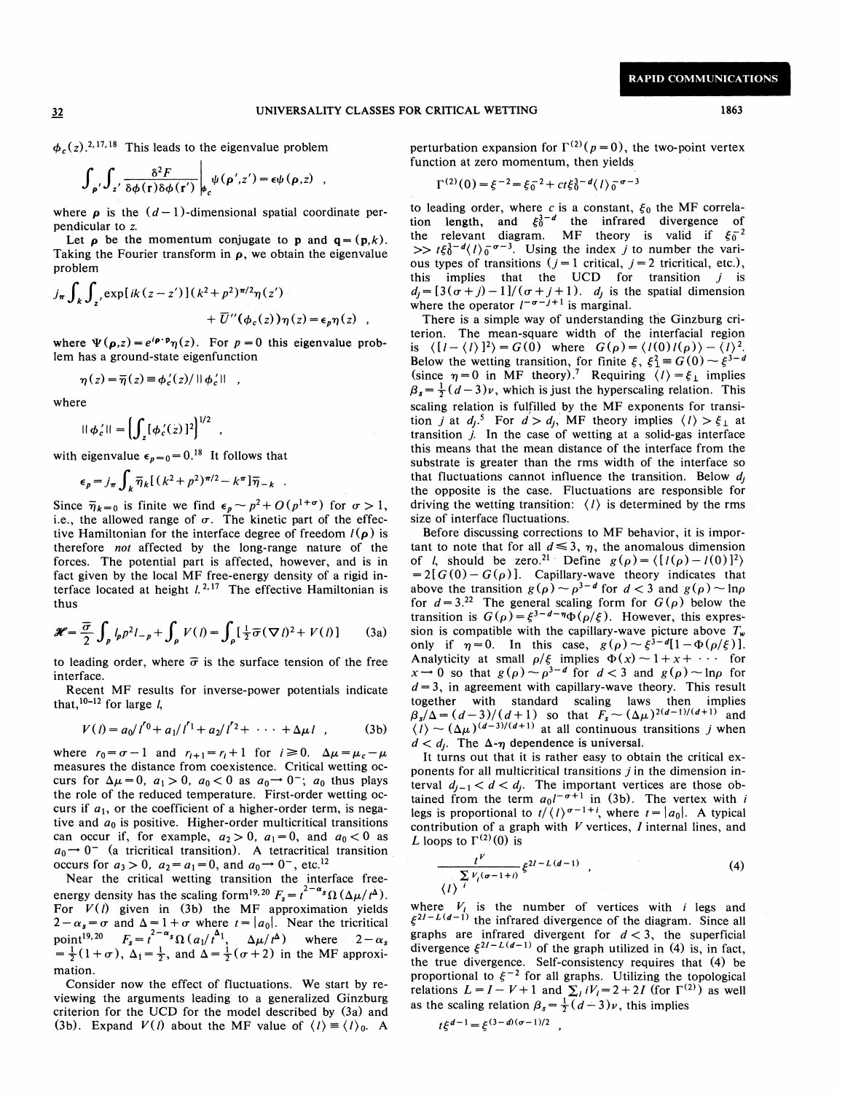$\phi_c(z)$ <sup>2, 17, 18</sup> This leads to the eigenvalue problem

$$
\int_{\rho'} \int_{z'} \frac{\delta^2 F}{\delta \phi(\mathbf{r}) \delta \phi(\mathbf{r'})} \bigg|_{\rho_c} \psi(\rho', z') = \epsilon \psi(\rho, z) ,
$$

where  $\rho$  is the  $(d-1)$ -dimensional spatial coordinate perpendicular to z.

Let  $\rho$  be the momentum conjugate to p and  $q = (p, k)$ . Taking the Fourier transform in  $\rho$ , we obtain the eigenvalue problem

problem  
\n
$$
j_{\pi} \int_{k} \int_{z'} \exp[ik(z-z')] (k^{2}+p^{2})^{\pi/2} \eta(z') + \overline{U}''(\phi_{c}(z)) \eta(z) = \epsilon_{p} \eta(z) ,
$$

where  $\Psi(\rho, z) = e^{i \rho \cdot \mathbf{p}} \eta(z)$ . For  $p = 0$  this eigenvalue problem has a ground-state eigenfunction

$$
\eta(z) = \overline{\eta}(z) \equiv \phi'_c(z) / ||\phi'_c||,
$$

where

$$
||\phi'_c|| = \left(\int_z [\phi'_c(z)]^2\right)^{1/2} ,
$$

with eigenvalue  $\epsilon_{p=0} = 0.^{18}$  It follows that

$$
\epsilon_p = j_\pi \int_k \overline{\eta}_k \left[ \left( k^2 + p^2 \right)^{\pi/2} - k^\pi \right] \overline{\eta}_{-k}
$$

Since  $\bar{\eta}_{k=0}$  is finite we find  $\epsilon_p \sim p^2 + O(p^{1+\sigma})$  for  $\sigma > 1$ , i.e., the allowed range of  $\sigma$ . The kinetic part of the effective Hamiltonian for the interface degree of freedom  $l(\rho)$  is therefore not affected by the long-range nature of the forces. The potential part is affected, however, and is in fact given by the local MF free-energy density of a rigid interface located at height  $l^{2,17}$  The effective Hamiltonian is thus

$$
\mathcal{H} = \frac{\overline{\sigma}}{2} \int_{\rho} l_p p^2 l_{-p} + \int_{\rho} V(l) = \int_{\rho} \left[ \frac{1}{2} \overline{\sigma} (\nabla l)^2 + V(l) \right] \tag{3a}
$$

to leading order, where  $\bar{\sigma}$  is the surface tension of the free interface.

Recent MF results for inverse-power potentials indicate that,  $10-12$  for large *l*,

$$
V(l) = a_0/I^0 + a_1/I^1 + a_2/I^2 + \cdots + \Delta \mu I
$$
 (3b)

where  $r_0 = \sigma - 1$  and  $r_{i+1} = r_i + 1$  for  $i \ge 0$ .  $\Delta \mu = \mu_c - \mu$ measures the distance from coexistence. Critical wetting occurs for  $\Delta \mu = 0$ ,  $a_1 > 0$ ,  $a_0 < 0$  as  $a_0 \rightarrow 0^-$ ;  $a_0$  thus plays the role of the reduced temperature. First-order wetting occurs if  $a_1$ , or the coefficient of a higher-order term, is negative and  $a_0$  is positive. Higher-order multicritical transitions can occur if, for example,  $a_2 > 0$ ,  $a_1 = 0$ , and  $a_0 < 0$  as  $a_0 \rightarrow 0^-$  (a tricritical transition). A tetracritical transition occurs for  $a_3 > 0$ ,  $a_2 = a_1 = 0$ , and  $a_0 \rightarrow 0^-$ , etc.<sup>12</sup> It and  $a_0$  is positive. Higher-order multicritical transitions<br>
ccur if, for example,  $a_2 > 0$ ,  $a_1 = 0$ , and  $a_0 < 0$  as<br>  $D^-$  (a tricritical transition). A tetracritical transition<br>
is for  $a_3 > 0$ ,  $a_2 = a_1 = 0$ , and

Near the critical wetting transition the interface freeenergy density has the scaling form<sup>19,20</sup> For  $V(l)$  given in (3b) the MF approximation yields  $2-\alpha_s=\sigma$  and  $\Delta=1+\sigma$  where  $t=|a_0|$ . Near the tricritical point<sup>19,20</sup>  $F_s = t^{2-\alpha_s} \Omega(a_1/t^{\Delta_1}, \Delta \mu/t^{\Delta})$  where  $2-\alpha_s$  $=\frac{1}{2}(1+\sigma)$ ,  $\Delta_1=\frac{1}{2}$ , and  $\Delta=\frac{1}{2}(\sigma+2)$  in the MF approximation.

Consider now the effect of fluctuations. We start by reviewing the arguments leading to a generalized Ginzburg criterion for the UCD for the model described by (3a) and (3b). Expand  $V(l)$  about the MF value of  $\langle l \rangle = \langle l \rangle_0$ . A perturbation expansion for  $\Gamma^{(2)}(p=0)$ , the two-point vertex function at zero momentum, then yields

$$
\Gamma^{(2)}(0) = \xi^{-2} = \xi_0^{-2} + ct\xi_0^{3-d} \langle I \rangle_0^{-\sigma-3}
$$

to leading order, where c is a constant,  $\xi_0$  the MF correlaion length, and  $\xi_0^{3-d}$  the infrared divergence of the relevant diagram. MF theory is valid if  $\xi_0^{-2}$  $\langle i \rangle_0^{\sigma} \sigma^{-3}$ . Using the index j to number the various types of transitions  $(j=1 \text{ critical}, j=2 \text{ tricritical}, \text{etc.})$ , this implies that the UCD for transition  $j$  is  $d_j = [3(\sigma + j) - 1]/(\sigma + j + 1)$ .  $d_j$  is the spatial dimension where the operator  $l^{-\sigma-j+1}$  is marginal.

There is a simple way of understanding the Ginzburg criterion. The mean-square width of the interfacial region is  $\langle [l-\langle l\rangle]^2 \rangle = G(0)$  where  $G(\rho) = \langle l(0)l(\rho) \rangle - \langle l\rangle^2$ .  $B = \begin{pmatrix} 11 - (1)1^2 \\ 8 \end{pmatrix} = G(0)$  where  $G(p) = (101)(p) - (100)(p)$ <br>Below the wetting transition, for finite  $\xi$ ,  $\xi_1^2 = G(0) - \xi^3$ since  $\eta = 0$  in MF theory).<sup>7</sup> Requiring  $\langle l \rangle = \xi_L$  implies  $\beta_s = \frac{1}{2}(d-3)\nu$ , which is just the hyperscaling relation. This scaling relation is fulfilled by the MF exponents for transition *j* at  $d_1$ <sup>5</sup> For  $d > d_1$ , MF theory implies  $\langle l \rangle > \xi_1$  at transition  $j$ . In the case of wetting at a solid-gas interface this means that the mean distance of the interface from the substrate is greater than the rms width of the interface so that fluctuations cannot influence the transition. Below  $d_i$ the opposite is the case. Fluctuations are responsible for driving the wetting transition:  $\langle l \rangle$  is determined by the rms size of interface fluctuations.

Before discussing corrections to MF behavior, it is important to note that for all  $d \leq 3$ ,  $\eta$ , the anomalous dimension of *l*, should be zero.<sup>21</sup> Define  $g(\rho) = \langle [l(\rho) - l(0)]^2 \rangle$  $= 2[(G(0) - G(\rho))]$ . Capillary-wave theory indicates that =  $2[0(0) - 0(0)]$ . Capillary-wave theory indicates that<br>hbove the transition  $g(\rho) \sim \rho^{3-d}$  for  $d < 3$  and  $g(\rho) \sim \ln \rho$ for  $d=3.22$  The general scaling form for  $G(\rho)$  below the ransition is  $G(\rho) = \xi^{3-d-\eta} \Phi(\rho/\xi)$ . However, this expression is compatible with the capillary-wave picture above  $T_w$ only if  $\eta = 0$ . In this case,  $g(\rho) \sim \xi^{3-d} [1 - \Phi(\rho/\xi)]$ . Analyticity at small  $\rho/\xi$  implies  $\Phi(x) \sim 1 + x + \cdots$  for Analyticity at small  $\rho/\xi$  implies  $\Phi(x) \sim 1 + x + \cdots$  for  $x \to 0$  so that  $g(\rho) \sim \rho^{3-d}$  for  $d < 3$  and  $g(\rho) \sim \ln \rho$  for  $d=3$ , in agreement with capillary-wave theory. This result cogether with standard scaling laws then implies  $\frac{d_3}{\Delta} = \frac{d-3}{d+1}$  so that  $F_s \sim (\Delta \mu)^{2(d-1)/(d+1)}$  and  $\int_{k}^{s} (\Delta \mu)^{(\alpha-3)/(d+1)}$  at all continuous transitions j when  $d < d_i$ . The  $\Delta - \eta$  dependence is universal.

It turns out that it is rather easy to obtain the critical exponents for all multicritical transitions  $j$  in the dimension interval  $d_{j-1} < d < d_j$ . The important vertices are those obained from the term  $a_0 l^{-\sigma+1}$  in (3b). The vertex with i legs is proportional to  $t/(l)^{\sigma-1+i}$ , where  $t=|a_0|$ . A typical contribution of a graph with  $V$  vertices,  $I$  internal lines, and L loops to  $\Gamma^{(2)}(0)$  is

$$
\frac{t^{\nu}}{\left\langle l\right\rangle^{l}}\xi^{2l-L(d-1)} , \qquad (4)
$$

where  $V_i$  is the number of vertices with *i* legs and  $\xi^{2I-L(d-1)}$  the infrared divergence of the diagram. Since all graphs are infrared divergent for  $d < 3$ , the superficial divergence  $\xi^{2l-L(d-1)}$  of the graph utilized in (4) is, in fact, the true divergence. Self-consistency requires that (4) be proportional to  $\xi^{-2}$  for all graphs. Utilizing the topological<br>relations  $L = I - V + 1$  and  $\sum_{i} iV_{i} = 2 + 2I$  (for  $\Gamma^{(2)}$ ) as well<br>as the scaling relation  $\beta_{s} = \frac{1}{2}(d-3)\nu$ , this implies

$$
t\xi^{d-1} = \xi^{(3-d)(\sigma-1)/2}
$$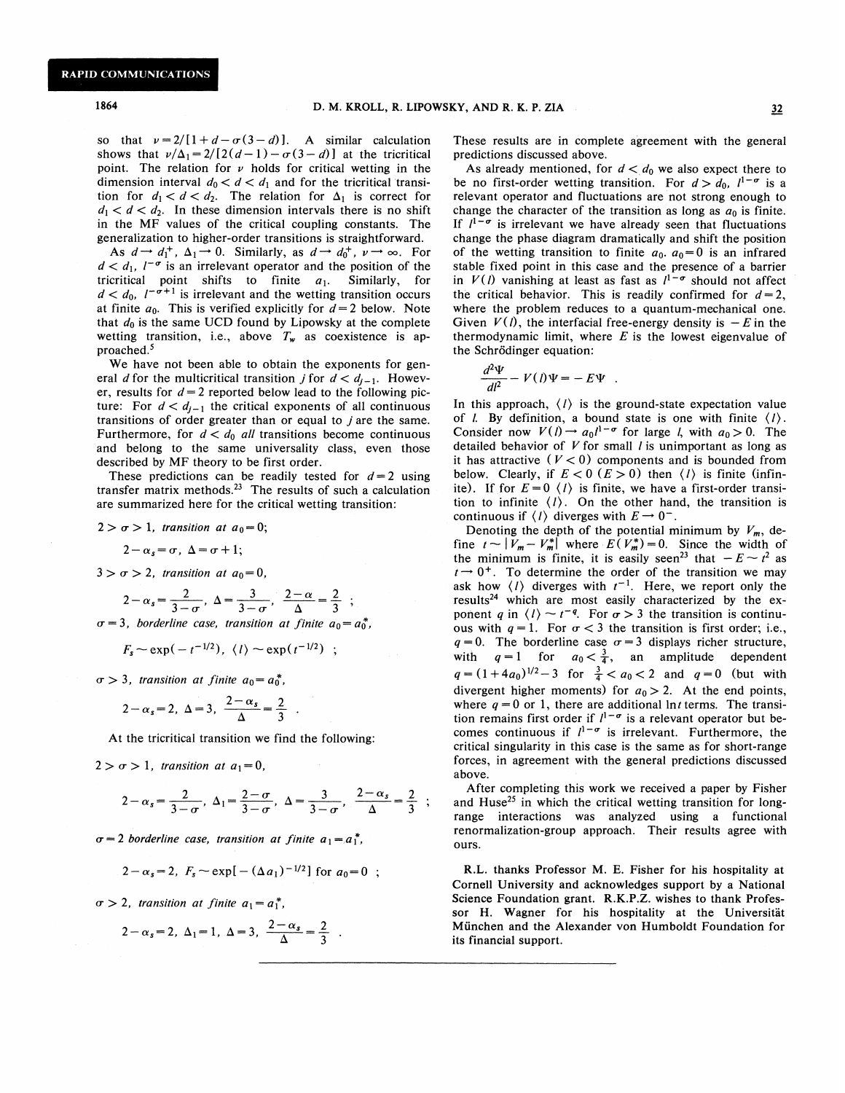so that  $\nu = 2/[1+d-\sigma(3-d)]$ . A similar calculation shows that  $v/\Delta_1 = 2/[2(d-1)-\sigma(3-d)]$  at the tricritical point. The relation for  $\nu$  holds for critical wetting in the dimension interval  $d_0 < d < d_1$  and for the tricritical transition for  $d_1 < d < d_2$ . The relation for  $\Delta_1$  is correct for  $d_1 < d < d_2$ . In these dimension intervals there is no shift in the MF values of the critical coupling constants. The generalization to higher-order transitions is straightforward.

As  $d \rightarrow d_1^+$ ,  $\Delta_1 \rightarrow 0$ . Similarly, as  $d \rightarrow d_0^+$ ,  $\nu \rightarrow \infty$ . For  $d < d_1$ ,  $l^{-\sigma}$  is an irrelevant operator and the position of the tricritical point shifts to finite  $a_1$ . Similarly, for  $d < d_0$ ,  $l^{-\sigma+1}$  is irrelevant and the wetting transition occurs at finite  $a_0$ . This is verified explicitly for  $d=2$  below. Note that  $d_0$  is the same UCD found by Lipowsky at the complete wetting transition, i.e., above  $T_w$  as coexistence is approached. <sup>5</sup>

We have not been able to obtain the exponents for general d for the multicritical transition j for  $d < d_{i-1}$ . However, results for  $d = 2$  reported below lead to the following picture: For  $d < d_{j-1}$  the critical exponents of all continuous transitions of order greater than or equal to  $j$  are the same. Furthermore, for  $d < d_0$  all transitions become continuous and belong to the same universality class, even those described by MF theory to be first order.

These predictions can be readily tested for  $d=2$  using transfer matrix methods. $23$  The results of such a calculation are summarized here for the critical wetting transition:

$$
2 > \sigma > 1, transition at a_0 = 0;
$$

$$
2-\alpha_s=\sigma, \ \Delta=\sigma+1;
$$

 $3 > \sigma > 2$ , transition at  $a_0 = 0$ ,

$$
2-\alpha_s = \frac{2}{3-\sigma}, \ \Delta = \frac{3}{3-\sigma}, \ \frac{2-\alpha}{\Delta} = \frac{2}{3}
$$

 $\sigma = 3$ , borderline case, transition at finite  $a_0 = a_0^*$ ,

$$
F_s \sim \exp(-t^{-1/2}), \ \langle l \rangle \sim \exp(t^{-1/2}) \ ;
$$

 $\sigma > 3$ , transition at finite  $a_0 = a_0^*$ ,

$$
2-\alpha_s=2, \ \Delta=3, \ \frac{2-\alpha_s}{\Delta}=\frac{2}{3} \ .
$$

At the tricritical transition we find the following:

 $2 > \sigma > 1$ , transition at  $a_1 = 0$ ,

$$
2-\alpha_s = \frac{2}{3-\sigma}, \ \Delta_1 = \frac{2-\sigma}{3-\sigma}, \ \Delta = \frac{3}{3-\sigma}, \ \frac{2-\alpha_s}{\Delta} = \frac{2}{3} \ ;
$$

 $\sigma = 2$  borderline case, transition at finite  $a_1 = a_1^*$ ,

$$
2-\alpha_s=2
$$
,  $F_s \sim \exp[-(\Delta a_1)^{-1/2}]$  for  $a_0=0$ ;

 $\sigma > 2$ , transition at finite  $a_1 = a_1^*$ ,

$$
2-\alpha_s = 2, \ \Delta_1 = 1, \ \Delta = 3, \ \frac{2-\alpha_s}{\Delta} = \frac{2}{3} \ .
$$

These results are in complete agreement with the general predictions discussed above.

As already mentioned, for  $d < d_0$  we also expect there to be no first-order wetting transition. For  $d > d_0$ ,  $l^{1-\sigma}$  is a relevant operator and fluctuations are not strong enough to change the character of the transition as long as  $a_0$  is finite. If  $l^{1-\sigma}$  is irrelevant we have already seen that fluctuations change the phase diagram dramatically and shift the position of the wetting transition to finite  $a_0$ .  $a_0 = 0$  is an infrared stable fixed point in this case and the presence of a barrier in  $V(l)$  vanishing at least as fast as  $l^{1-\sigma}$  should not affect the critical behavior. This is readily confirmed for  $d=2$ , where the problem reduces to a quantum-mechanical one. Given  $V(l)$ , the interfacial free-energy density is  $-E$  in the thermodynamic limit, where  $E$  is the lowest eigenvalue of the Schrödinger equation:

$$
\frac{d^2\Psi}{dl^2} - V(l)\Psi = -E\Psi .
$$

In this approach,  $\langle l \rangle$  is the ground-state expectation value of *l.* By definition, a bound state is one with finite  $\langle l \rangle$ . Consider now  $V(l) \rightarrow a_0 l^{1-\sigma}$  for large *l*, with  $a_0 > 0$ . The detailed behavior of  $V$  for small  $l$  is unimportant as long as it has attractive  $(V < 0)$  components and is bounded from below. Clearly, if  $E < 0$  ( $E > 0$ ) then  $\langle l \rangle$  is finite (infinite). If for  $E=0$   $\langle l \rangle$  is finite, we have a first-order transition to infinite  $\langle l \rangle$ . On the other hand, the transition is continuous if  $\langle l \rangle$  diverges with  $E \rightarrow 0^-$ .

Denoting the depth of the potential minimum by  $V_m$ , define  $t \sim |V_m - V_m^*|$  where  $E(V_m^*)=0$ . Since the width of the minimum is finite, it is easily seen<sup>23</sup> that  $-E \sim t^2$  as  $t \rightarrow 0^+$ . To determine the order of the transition we may isk how  $\langle l \rangle$  diverges with  $t^{-1}$ . Here, we report only the results<sup>24</sup> which are most easily characterized by the exponent q in  $\langle l \rangle \sim t^{-q}$ . For  $\sigma > 3$  the transition is continuous with  $q=1$ . For  $\sigma < 3$  the transition is first order; i.e.,  $q=0$ . The borderline case  $\sigma=3$  displays richer structure, with  $q=1$  for  $a_0 < \frac{3}{4}$ , an amplitude dependent  $q = (1 + 4a_0)^{1/2} - 3$  for  $\frac{3}{4} < a_0 < 2$  and  $q = 0$  (but with divergent higher moments) for  $a_0 > 2$ . At the end points, where  $q = 0$  or 1, there are additional lnt terms. The transition remains first order if  $l^{1-\sigma}$  is a relevant operator but becomes continuous if  $l^{1-\sigma}$  is irrelevant. Furthermore, the critical singularity in this case is the same as for short-range forces, in agreement with the general predictions discussed above.

After completing this work we received a paper by Fisher and Huse<sup>25</sup> in which the critical wetting transition for longrange interactions was analyzed using a functional renormalization-group approach. Their results agree with ours.

R.L. thanks Professor M. E. Fisher for his hospitality at Cornell University and acknowledges support by a National Science Foundation grant. R.K.P.Z. wishes to thank Professor H. Wagner for his hospitality at the Universität Munchen and the Alexander von Humboldt Foundation for its financial support.